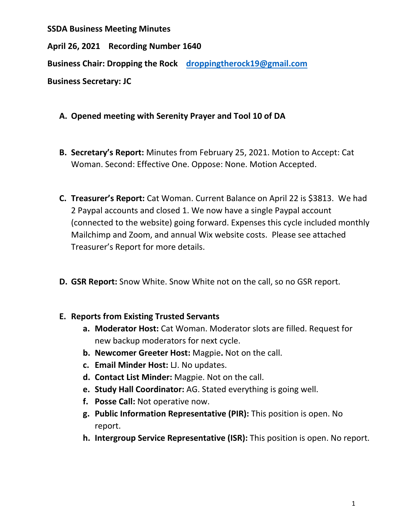**SSDA Business Meeting Minutes**

**April 26, 2021 Recording Number 1640**

**Business Chair: Dropping the Rock [droppingtherock19@gmail.com](mailto:droppingtherock19@gmail.com)**

**Business Secretary: JC** 

- **A. Opened meeting with Serenity Prayer and Tool 10 of DA**
- **B. Secretary's Report:** Minutes from February 25, 2021. Motion to Accept: Cat Woman. Second: Effective One. Oppose: None. Motion Accepted.
- **C. Treasurer's Report:** Cat Woman. Current Balance on April 22 is \$3813. We had 2 Paypal accounts and closed 1. We now have a single Paypal account (connected to the website) going forward. Expenses this cycle included monthly Mailchimp and Zoom, and annual Wix website costs. Please see attached Treasurer's Report for more details.
- **D. GSR Report:** Snow White. Snow White not on the call, so no GSR report.

## **E. Reports from Existing Trusted Servants**

- **a. Moderator Host:** Cat Woman. Moderator slots are filled. Request for new backup moderators for next cycle.
- **b. Newcomer Greeter Host:** Magpie**.** Not on the call.
- **c. Email Minder Host:** LJ. No updates.
- **d. Contact List Minder:** Magpie. Not on the call.
- **e. Study Hall Coordinator:** AG. Stated everything is going well.
- **f. Posse Call:** Not operative now.
- **g. Public Information Representative (PIR):** This position is open. No report.
- **h. Intergroup Service Representative (ISR):** This position is open. No report.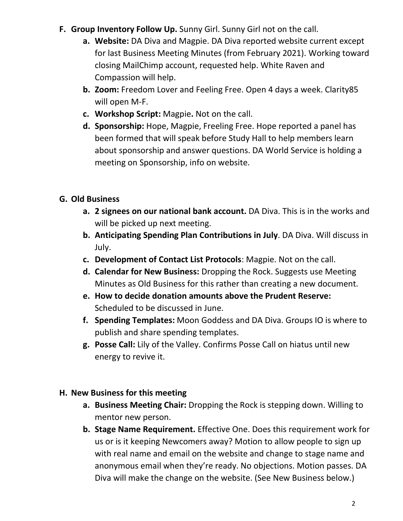- **F. Group Inventory Follow Up.** Sunny Girl. Sunny Girl not on the call.
	- **a. Website:** DA Diva and Magpie. DA Diva reported website current except for last Business Meeting Minutes (from February 2021). Working toward closing MailChimp account, requested help. White Raven and Compassion will help.
	- **b. Zoom:** Freedom Lover and Feeling Free. Open 4 days a week. Clarity85 will open M-F.
	- **c. Workshop Script:** Magpie**.** Not on the call.
	- **d. Sponsorship:** Hope, Magpie, Freeling Free. Hope reported a panel has been formed that will speak before Study Hall to help members learn about sponsorship and answer questions. DA World Service is holding a meeting on Sponsorship, info on website.

# **G. Old Business**

- **a. 2 signees on our national bank account.** DA Diva. This is in the works and will be picked up next meeting.
- **b. Anticipating Spending Plan Contributions in July**. DA Diva. Will discuss in July.
- **c. Development of Contact List Protocols**: Magpie. Not on the call.
- **d. Calendar for New Business:** Dropping the Rock. Suggests use Meeting Minutes as Old Business for this rather than creating a new document.
- **e. How to decide donation amounts above the Prudent Reserve:**  Scheduled to be discussed in June.
- **f. Spending Templates:** Moon Goddess and DA Diva. Groups IO is where to publish and share spending templates.
- **g. Posse Call:** Lily of the Valley. Confirms Posse Call on hiatus until new energy to revive it.

## **H. New Business for this meeting**

- **a. Business Meeting Chair:** Dropping the Rock is stepping down. Willing to mentor new person.
- **b. Stage Name Requirement.** Effective One. Does this requirement work for us or is it keeping Newcomers away? Motion to allow people to sign up with real name and email on the website and change to stage name and anonymous email when they're ready. No objections. Motion passes. DA Diva will make the change on the website. (See New Business below.)